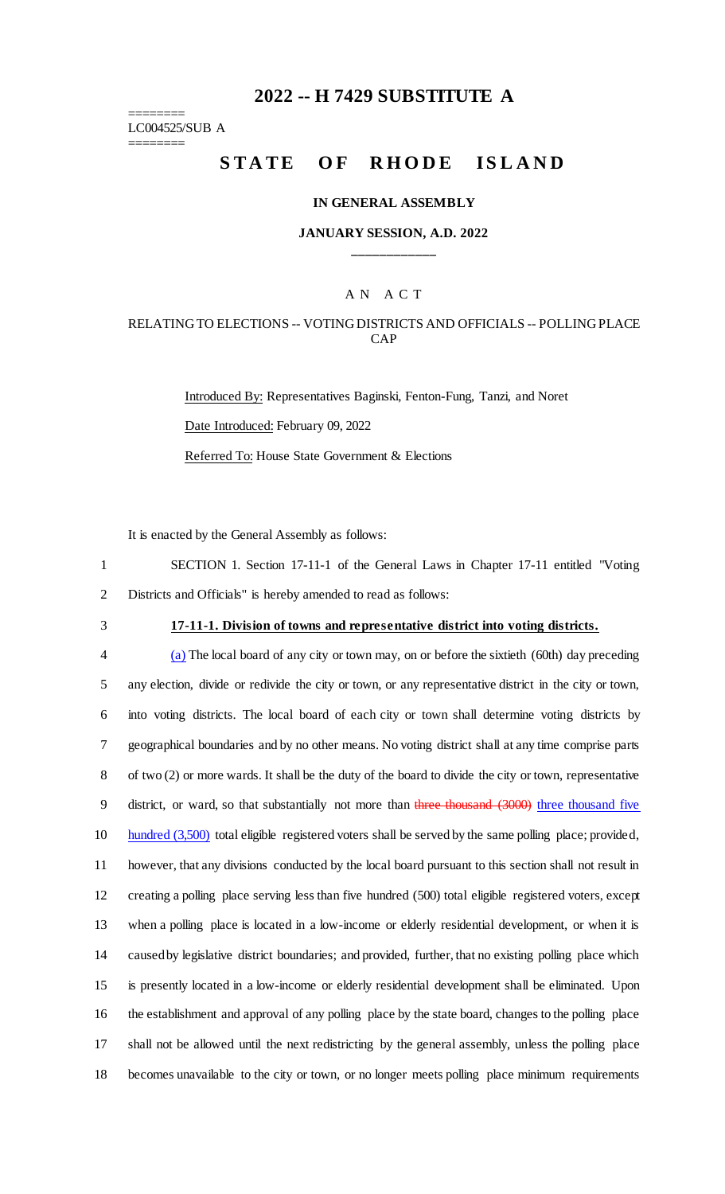## **2022 -- H 7429 SUBSTITUTE A**

======== LC004525/SUB A ========

# STATE OF RHODE ISLAND

#### **IN GENERAL ASSEMBLY**

#### **JANUARY SESSION, A.D. 2022 \_\_\_\_\_\_\_\_\_\_\_\_**

## A N A C T

## RELATING TO ELECTIONS -- VOTING DISTRICTS AND OFFICIALS -- POLLING PLACE CAP

Introduced By: Representatives Baginski, Fenton-Fung, Tanzi, and Noret Date Introduced: February 09, 2022 Referred To: House State Government & Elections

It is enacted by the General Assembly as follows:

1 SECTION 1. Section 17-11-1 of the General Laws in Chapter 17-11 entitled "Voting 2 Districts and Officials" is hereby amended to read as follows:

## 3 **17-11-1. Division of towns and representative district into voting districts.**

 (a) The local board of any city or town may, on or before the sixtieth (60th) day preceding any election, divide or redivide the city or town, or any representative district in the city or town, into voting districts. The local board of each city or town shall determine voting districts by geographical boundaries and by no other means. No voting district shall at any time comprise parts of two (2) or more wards. It shall be the duty of the board to divide the city or town, representative 9 district, or ward, so that substantially not more than three thousand (3000) three thousand five 10 hundred (3,500) total eligible registered voters shall be served by the same polling place; provided, however, that any divisions conducted by the local board pursuant to this section shall not result in creating a polling place serving less than five hundred (500) total eligible registered voters, except when a polling place is located in a low-income or elderly residential development, or when it is caused by legislative district boundaries; and provided, further, that no existing polling place which is presently located in a low-income or elderly residential development shall be eliminated. Upon the establishment and approval of any polling place by the state board, changes to the polling place shall not be allowed until the next redistricting by the general assembly, unless the polling place becomes unavailable to the city or town, or no longer meets polling place minimum requirements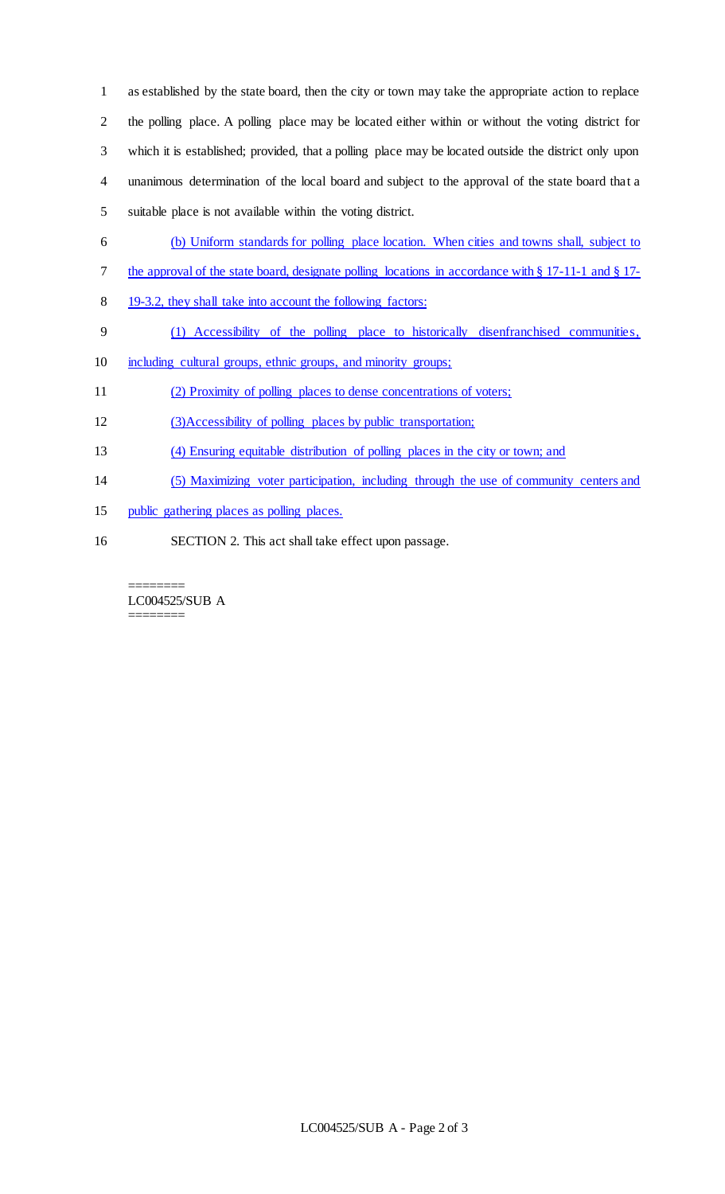as established by the state board, then the city or town may take the appropriate action to replace the polling place. A polling place may be located either within or without the voting district for which it is established; provided, that a polling place may be located outside the district only upon unanimous determination of the local board and subject to the approval of the state board that a suitable place is not available within the voting district.

- (b) Uniform standards for polling place location. When cities and towns shall, subject to
- the approval of the state board, designate polling locations in accordance with § 17-11-1 and § 17-
- 8 19-3.2, they shall take into account the following factors:
- (1) Accessibility of the polling place to historically disenfranchised communities,
- including cultural groups, ethnic groups, and minority groups;
- (2) Proximity of polling places to dense concentrations of voters;
- (3)Accessibility of polling places by public transportation;
- (4) Ensuring equitable distribution of polling places in the city or town; and
- (5) Maximizing voter participation, including through the use of community centers and
- public gathering places as polling places.
- SECTION 2. This act shall take effect upon passage.

======== LC004525/SUB A ========